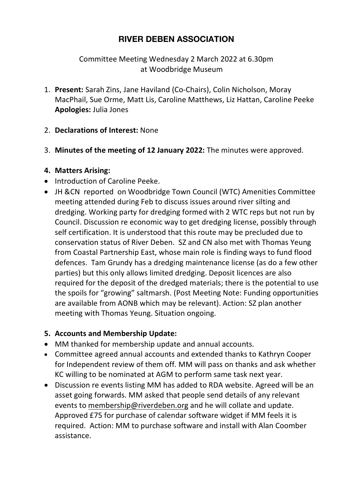# **RIVER DEBEN ASSOCIATION**

Committee Meeting Wednesday 2 March 2022 at 6.30pm at Woodbridge Museum

- 1. **Present:** Sarah Zins, Jane Haviland (Co-Chairs), Colin Nicholson, Moray MacPhail, Sue Orme, Matt Lis, Caroline Matthews, Liz Hattan, Caroline Peeke **Apologies:** Julia Jones
- 2. **Declarations of Interest:** None
- 3. **Minutes of the meeting of 12 January 2022:** The minutes were approved.

#### **4. Matters Arising:**

- Introduction of Caroline Peeke.
- JH &CN reported on Woodbridge Town Council (WTC) Amenities Committee meeting attended during Feb to discuss issues around river silting and dredging. Working party for dredging formed with 2 WTC reps but not run by Council. Discussion re economic way to get dredging license, possibly through self certification. It is understood that this route may be precluded due to conservation status of River Deben. SZ and CN also met with Thomas Yeung from Coastal Partnership East, whose main role is finding ways to fund flood defences. Tam Grundy has a dredging maintenance license (as do a few other parties) but this only allows limited dredging. Deposit licences are also required for the deposit of the dredged materials; there is the potential to use the spoils for "growing" saltmarsh. (Post Meeting Note: Funding opportunities are available from AONB which may be relevant). Action: SZ plan another meeting with Thomas Yeung. Situation ongoing.

#### **5. Accounts and Membership Update:**

- MM thanked for membership update and annual accounts.
- Committee agreed annual accounts and extended thanks to Kathryn Cooper for Independent review of them off. MM will pass on thanks and ask whether KC willing to be nominated at AGM to perform same task next year.
- Discussion re events listing MM has added to RDA website. Agreed will be an asset going forwards. MM asked that people send details of any relevant events to membership@riverdeben.org and he will collate and update. Approved £75 for purchase of calendar software widget if MM feels it is required. Action: MM to purchase software and install with Alan Coomber assistance.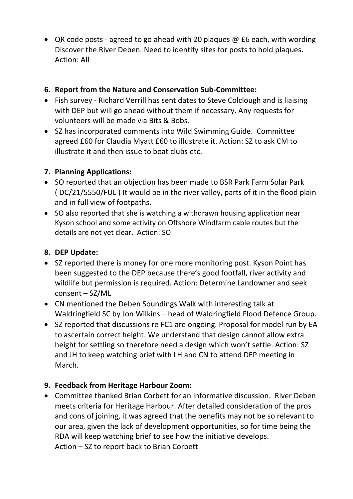• QR code posts - agreed to go ahead with 20 plaques @ £6 each, with wording Discover the River Deben. Need to identify sites for posts to hold plaques. Action: All

#### **6. Report from the Nature and Conservation Sub-Committee:**

- Fish survey Richard Verrill has sent dates to Steve Colclough and is liaising with DEP but will go ahead without them if necessary. Any requests for volunteers will be made via Bits & Bobs.
- SZ has incorporated comments into Wild Swimming Guide. Committee agreed £60 for Claudia Myatt £60 to illustrate it. Action: SZ to ask CM to illustrate it and then issue to boat clubs etc.

#### **7. Planning Applications:**

- SO reported that an objection has been made to BSR Park Farm Solar Park ( DC/21/5550/FUL ) It would be in the river valley, parts of it in the flood plain and in full view of footpaths.
- SO also reported that she is watching a withdrawn housing application near Kyson school and some activity on Offshore Windfarm cable routes but the details are not yet clear. Action: SO

### **8. DEP Update:**

- SZ reported there is money for one more monitoring post. Kyson Point has been suggested to the DEP because there's good footfall, river activity and wildlife but permission is required. Action: Determine Landowner and seek consent – SZ/ML
- CN mentioned the Deben Soundings Walk with interesting talk at Waldringfield SC by Jon Wilkins – head of Waldringfield Flood Defence Group.
- SZ reported that discussions re FC1 are ongoing. Proposal for model run by EA to ascertain correct height. We understand that design cannot allow extra height for settling so therefore need a design which won't settle. Action: SZ and JH to keep watching brief with LH and CN to attend DEP meeting in March.

#### **9. Feedback from Heritage Harbour Zoom:**

• Committee thanked Brian Corbett for an informative discussion. River Deben meets criteria for Heritage Harbour. After detailed consideration of the pros and cons of joining, it was agreed that the benefits may not be so relevant to our area, given the lack of development opportunities, so for time being the RDA will keep watching brief to see how the initiative develops. Action – SZ to report back to Brian Corbett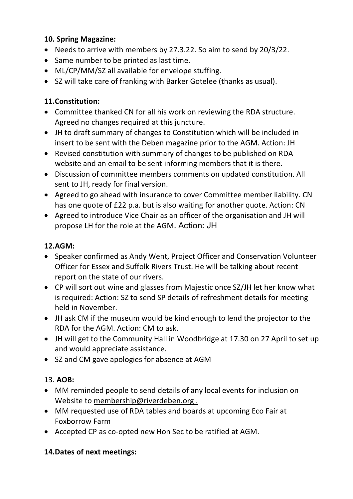#### **10. Spring Magazine:**

- Needs to arrive with members by 27.3.22. So aim to send by 20/3/22.
- Same number to be printed as last time.
- ML/CP/MM/SZ all available for envelope stuffing.
- SZ will take care of franking with Barker Gotelee (thanks as usual).

### **11.Constitution:**

- Committee thanked CN for all his work on reviewing the RDA structure. Agreed no changes required at this juncture.
- JH to draft summary of changes to Constitution which will be included in insert to be sent with the Deben magazine prior to the AGM. Action: JH
- Revised constitution with summary of changes to be published on RDA website and an email to be sent informing members that it is there.
- Discussion of committee members comments on updated constitution. All sent to JH, ready for final version.
- Agreed to go ahead with insurance to cover Committee member liability. CN has one quote of £22 p.a. but is also waiting for another quote. Action: CN
- Agreed to introduce Vice Chair as an officer of the organisation and JH will propose LH for the role at the AGM. Action: JH

### **12.AGM:**

- Speaker confirmed as Andy Went, Project Officer and Conservation Volunteer Officer for Essex and Suffolk Rivers Trust. He will be talking about recent report on the state of our rivers.
- CP will sort out wine and glasses from Majestic once SZ/JH let her know what is required: Action: SZ to send SP details of refreshment details for meeting held in November.
- JH ask CM if the museum would be kind enough to lend the projector to the RDA for the AGM. Action: CM to ask.
- JH will get to the Community Hall in Woodbridge at 17.30 on 27 April to set up and would appreciate assistance.
- SZ and CM gave apologies for absence at AGM

#### 13. **AOB:**

- MM reminded people to send details of any local events for inclusion on Website to membership@riverdeben.org.
- MM requested use of RDA tables and boards at upcoming Eco Fair at Foxborrow Farm
- Accepted CP as co-opted new Hon Sec to be ratified at AGM.

## **14.Dates of next meetings:**